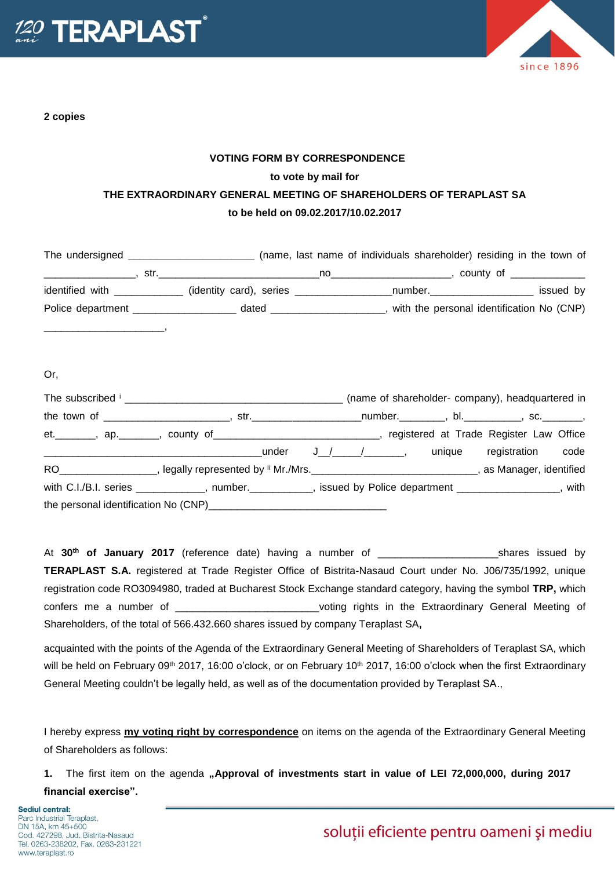

**2 copies**



## **VOTING FORM BY CORRESPONDENCE to vote by mail for THE EXTRAORDINARY GENERAL MEETING OF SHAREHOLDERS OF TERAPLAST SA to be held on 09.02.2017/10.02.2017**

|                                              |                                                   |                                        | (name, last name of individuals shareholder) residing in the town of                                           |                                           |
|----------------------------------------------|---------------------------------------------------|----------------------------------------|----------------------------------------------------------------------------------------------------------------|-------------------------------------------|
| the control of the control of the control of | str.                                              |                                        | no all'anno di contra l'anno 1990, il contra la contra la contra la contra la contra la contra la contra la co | , county of the country of                |
| identified with ______________               |                                                   | (identity card), series ______________ | number.                                                                                                        | issued by                                 |
|                                              | Police department ____________________ dated ____ |                                        |                                                                                                                | with the personal identification No (CNP) |
|                                              |                                                   |                                        |                                                                                                                |                                           |

## Or,

| The subscribed in the subscribed in the subscribed in the subscribed in the subscribed in the subscribed in the subscribed in the subscribed in the subscribed in the subscribed in the subscribed in the subscribed in the su |       |        | (name of shareholder- company), headquartered in |  |
|--------------------------------------------------------------------------------------------------------------------------------------------------------------------------------------------------------------------------------|-------|--------|--------------------------------------------------|--|
|                                                                                                                                                                                                                                |       |        | $number.$ , bl. $sc.$                            |  |
| et. _______, ap. ______, county of __________________________, registered at Trade Register Law Office                                                                                                                         |       |        |                                                  |  |
| under                                                                                                                                                                                                                          | J / / | unique | registration code                                |  |
| RO <sub>______</sub> _______________, legally represented by <sup>ii</sup> Mr./Mrs. ___________________________________, as Manager, identified                                                                                |       |        |                                                  |  |
| with C.I./B.I. series ____________, number. _________, issued by Police department ______________, with                                                                                                                        |       |        |                                                  |  |
|                                                                                                                                                                                                                                |       |        |                                                  |  |

At **30th of January 2017** (reference date) having a number of \_\_\_\_\_\_\_\_\_\_\_\_\_\_\_\_\_\_\_\_\_shares issued by **TERAPLAST S.A.** registered at Trade Register Office of Bistrita-Nasaud Court under No. J06/735/1992, unique registration code RO3094980, traded at Bucharest Stock Exchange standard category, having the symbol **TRP,** which confers me a number of \_\_\_\_\_\_\_\_\_\_\_\_\_\_\_\_\_\_\_\_\_\_\_\_\_\_voting rights in the Extraordinary General Meeting of Shareholders, of the total of 566.432.660 shares issued by company Teraplast SA**,**

acquainted with the points of the Agenda of the Extraordinary General Meeting of Shareholders of Teraplast SA, which will be held on February 09<sup>th</sup> 2017, 16:00 o'clock, or on February 10<sup>th</sup> 2017, 16:00 o'clock when the first Extraordinary General Meeting couldn't be legally held, as well as of the documentation provided by Teraplast SA.,

I hereby express **my voting right by correspondence** on items on the agenda of the Extraordinary General Meeting of Shareholders as follows:

**1.** The first item on the agenda **"Approval of investments start in value of LEI 72,000,000, during 2017 financial exercise".**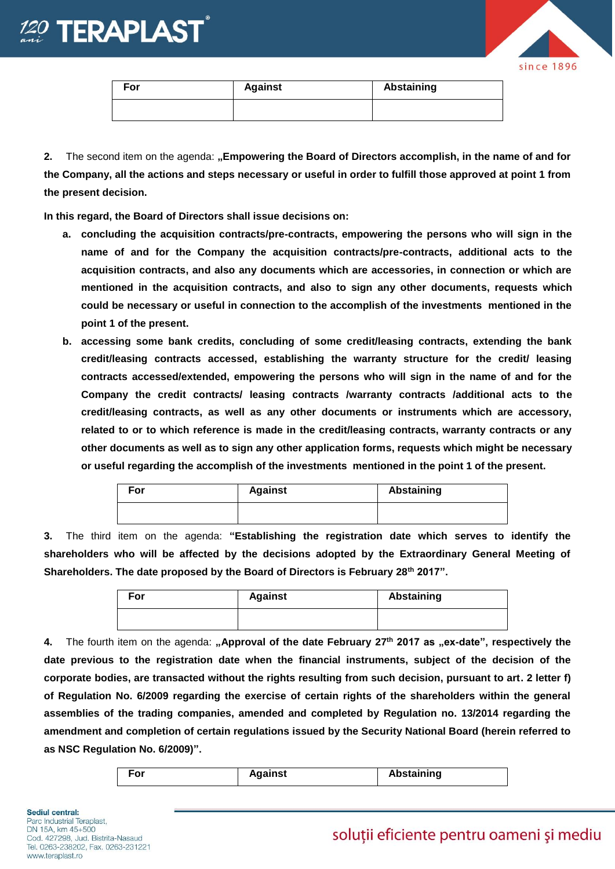



| For | <b>Against</b> | Abstaining |
|-----|----------------|------------|
|     |                |            |

**2.** The second item on the agenda: **"Empowering the Board of Directors accomplish, in the name of and for the Company, all the actions and steps necessary or useful in order to fulfill those approved at point 1 from the present decision.** 

**In this regard, the Board of Directors shall issue decisions on:** 

- **a. concluding the acquisition contracts/pre-contracts, empowering the persons who will sign in the name of and for the Company the acquisition contracts/pre-contracts, additional acts to the acquisition contracts, and also any documents which are accessories, in connection or which are mentioned in the acquisition contracts, and also to sign any other documents, requests which could be necessary or useful in connection to the accomplish of the investments mentioned in the point 1 of the present.**
- **b. accessing some bank credits, concluding of some credit/leasing contracts, extending the bank credit/leasing contracts accessed, establishing the warranty structure for the credit/ leasing contracts accessed/extended, empowering the persons who will sign in the name of and for the Company the credit contracts/ leasing contracts /warranty contracts /additional acts to the credit/leasing contracts, as well as any other documents or instruments which are accessory, related to or to which reference is made in the credit/leasing contracts, warranty contracts or any other documents as well as to sign any other application forms, requests which might be necessary or useful regarding the accomplish of the investments mentioned in the point 1 of the present.**

| For | <b>Against</b> | Abstaining |
|-----|----------------|------------|
|     |                |            |

**3.** The third item on the agenda: **"Establishing the registration date which serves to identify the shareholders who will be affected by the decisions adopted by the Extraordinary General Meeting of Shareholders. The date proposed by the Board of Directors is February 28th 2017".**

| For | <b>Against</b> | Abstaining |
|-----|----------------|------------|
|     |                |            |

4. The fourth item on the agenda: "Approval of the date February 27<sup>th</sup> 2017 as "ex-date", respectively the **date previous to the registration date when the financial instruments, subject of the decision of the corporate bodies, are transacted without the rights resulting from such decision, pursuant to art. 2 letter f) of Regulation No. 6/2009 regarding the exercise of certain rights of the shareholders within the general assemblies of the trading companies, amended and completed by Regulation no. 13/2014 regarding the amendment and completion of certain regulations issued by the Security National Board (herein referred to as NSC Regulation No. 6/2009)".** 

| For | Against | <b>Abstaining</b> |
|-----|---------|-------------------|
|-----|---------|-------------------|